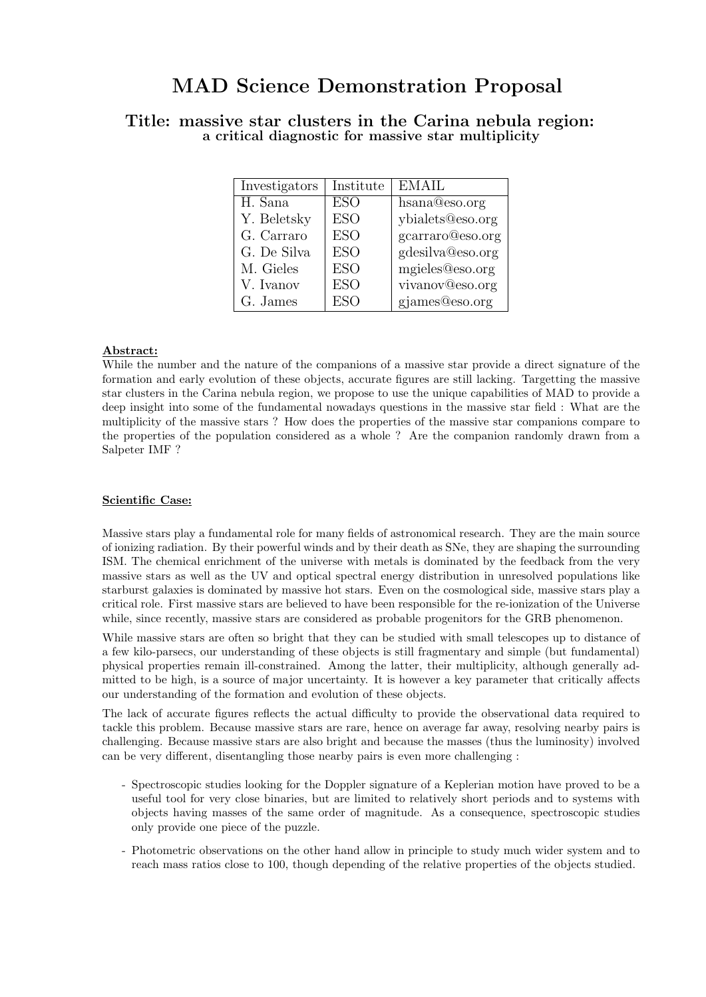# MAD Science Demonstration Proposal

| Investigators | Institute  | <b>EMAIL</b>     |
|---------------|------------|------------------|
| H. Sana       | <b>ESO</b> | hsana@eso.org    |
| Y. Beletsky   | <b>ESO</b> | ybialets@eso.org |
| G. Carraro    | <b>ESO</b> | gcarraro@eso.org |
| G. De Silva   | <b>ESO</b> | gdesilva@eso.org |
| M. Gieles     | <b>ESO</b> | mgieles@eso.org  |
| V. Ivanov     | <b>ESO</b> | vivanov@eso.org  |
| G. James      | <b>ESO</b> | gjames@eso.org   |

# Title: massive star clusters in the Carina nebula region: a critical diagnostic for massive star multiplicity

## Abstract:

While the number and the nature of the companions of a massive star provide a direct signature of the formation and early evolution of these objects, accurate figures are still lacking. Targetting the massive star clusters in the Carina nebula region, we propose to use the unique capabilities of MAD to provide a deep insight into some of the fundamental nowadays questions in the massive star field : What are the multiplicity of the massive stars ? How does the properties of the massive star companions compare to the properties of the population considered as a whole ? Are the companion randomly drawn from a Salpeter IMF ?

## Scientific Case:

Massive stars play a fundamental role for many fields of astronomical research. They are the main source of ionizing radiation. By their powerful winds and by their death as SNe, they are shaping the surrounding ISM. The chemical enrichment of the universe with metals is dominated by the feedback from the very massive stars as well as the UV and optical spectral energy distribution in unresolved populations like starburst galaxies is dominated by massive hot stars. Even on the cosmological side, massive stars play a critical role. First massive stars are believed to have been responsible for the re-ionization of the Universe while, since recently, massive stars are considered as probable progenitors for the GRB phenomenon.

While massive stars are often so bright that they can be studied with small telescopes up to distance of a few kilo-parsecs, our understanding of these objects is still fragmentary and simple (but fundamental) physical properties remain ill-constrained. Among the latter, their multiplicity, although generally admitted to be high, is a source of major uncertainty. It is however a key parameter that critically affects our understanding of the formation and evolution of these objects.

The lack of accurate figures reflects the actual difficulty to provide the observational data required to tackle this problem. Because massive stars are rare, hence on average far away, resolving nearby pairs is challenging. Because massive stars are also bright and because the masses (thus the luminosity) involved can be very different, disentangling those nearby pairs is even more challenging :

- Spectroscopic studies looking for the Doppler signature of a Keplerian motion have proved to be a useful tool for very close binaries, but are limited to relatively short periods and to systems with objects having masses of the same order of magnitude. As a consequence, spectroscopic studies only provide one piece of the puzzle.
- Photometric observations on the other hand allow in principle to study much wider system and to reach mass ratios close to 100, though depending of the relative properties of the objects studied.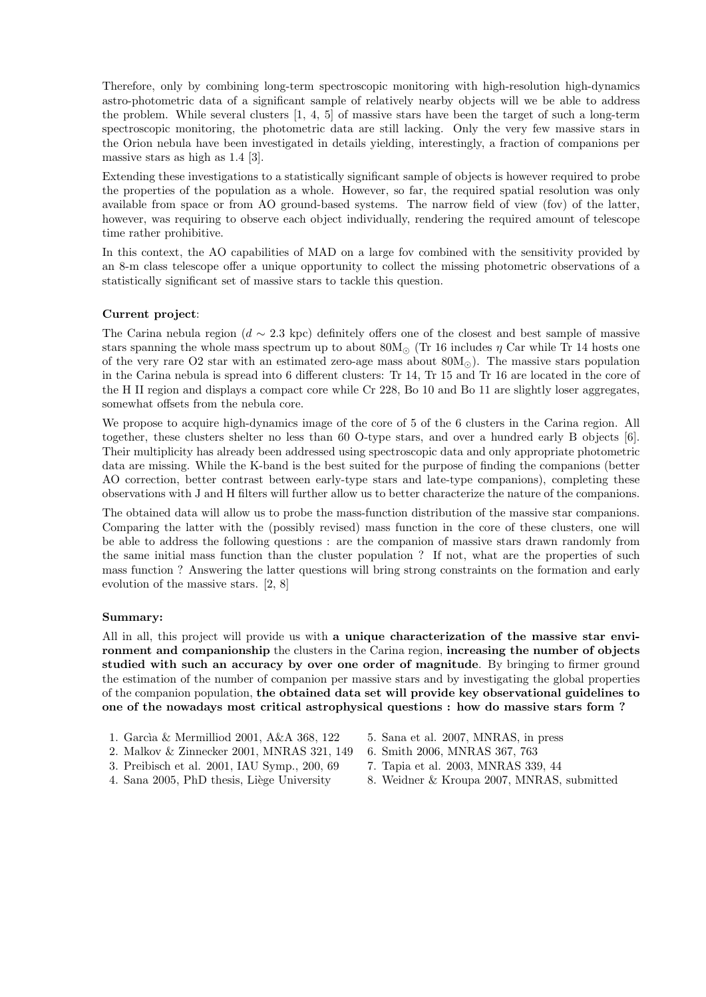Therefore, only by combining long-term spectroscopic monitoring with high-resolution high-dynamics astro-photometric data of a significant sample of relatively nearby objects will we be able to address the problem. While several clusters [1, 4, 5] of massive stars have been the target of such a long-term spectroscopic monitoring, the photometric data are still lacking. Only the very few massive stars in the Orion nebula have been investigated in details yielding, interestingly, a fraction of companions per massive stars as high as 1.4 [3].

Extending these investigations to a statistically significant sample of objects is however required to probe the properties of the population as a whole. However, so far, the required spatial resolution was only available from space or from AO ground-based systems. The narrow field of view (fov) of the latter, however, was requiring to observe each object individually, rendering the required amount of telescope time rather prohibitive.

In this context, the AO capabilities of MAD on a large fov combined with the sensitivity provided by an 8-m class telescope offer a unique opportunity to collect the missing photometric observations of a statistically significant set of massive stars to tackle this question.

#### Current project:

The Carina nebula region ( $d \sim 2.3$  kpc) definitely offers one of the closest and best sample of massive stars spanning the whole mass spectrum up to about  $80M_{\odot}$  (Tr 16 includes  $\eta$  Car while Tr 14 hosts one of the very rare O2 star with an estimated zero-age mass about  $80M_{\odot}$ ). The massive stars population in the Carina nebula is spread into 6 different clusters: Tr 14, Tr 15 and Tr 16 are located in the core of the H II region and displays a compact core while Cr 228, Bo 10 and Bo 11 are slightly loser aggregates, somewhat offsets from the nebula core.

We propose to acquire high-dynamics image of the core of 5 of the 6 clusters in the Carina region. All together, these clusters shelter no less than 60 O-type stars, and over a hundred early B objects [6]. Their multiplicity has already been addressed using spectroscopic data and only appropriate photometric data are missing. While the K-band is the best suited for the purpose of finding the companions (better AO correction, better contrast between early-type stars and late-type companions), completing these observations with J and H filters will further allow us to better characterize the nature of the companions.

The obtained data will allow us to probe the mass-function distribution of the massive star companions. Comparing the latter with the (possibly revised) mass function in the core of these clusters, one will be able to address the following questions : are the companion of massive stars drawn randomly from the same initial mass function than the cluster population ? If not, what are the properties of such mass function ? Answering the latter questions will bring strong constraints on the formation and early evolution of the massive stars. [2, 8]

#### Summary:

All in all, this project will provide us with a unique characterization of the massive star environment and companionship the clusters in the Carina region, increasing the number of objects studied with such an accuracy by over one order of magnitude. By bringing to firmer ground the estimation of the number of companion per massive stars and by investigating the global properties of the companion population, the obtained data set will provide key observational guidelines to one of the nowadays most critical astrophysical questions : how do massive stars form ?

- 1. Garc`ıa & Mermilliod 2001, A&A 368, 122 5. Sana et al. 2007, MNRAS, in press
- 2. Malkov & Zinnecker 2001, MNRAS 321, 149 6. Smith 2006, MNRAS 367, 763
- 3. Preibisch et al. 2001, IAU Symp., 200, 69 7. Tapia et al. 2003, MNRAS 339, 44
- 
- 
- 
- 
- 4. Sana 2005, PhD thesis, Liège University 8. Weidner & Kroupa 2007, MNRAS, submitted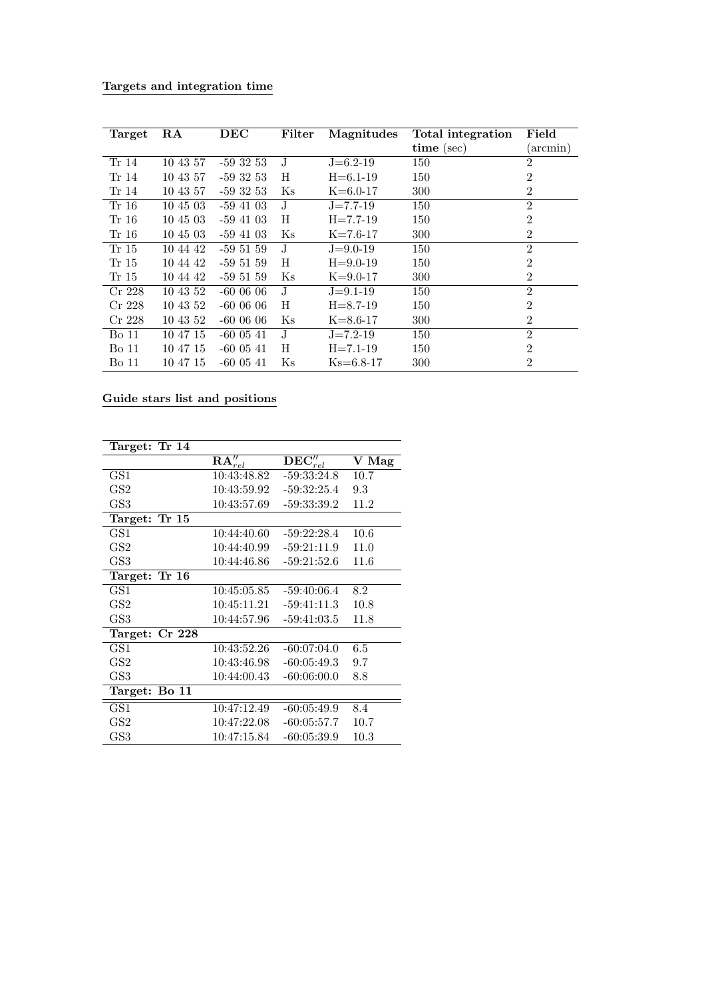| Targets and integration time |  |  |  |  |
|------------------------------|--|--|--|--|
|------------------------------|--|--|--|--|

| Target   | RA       | DEC           | Filter         | Magnitudes     | Total integration | Field          |
|----------|----------|---------------|----------------|----------------|-------------------|----------------|
|          |          |               |                |                | time (sec)        | (arcmin)       |
| Tr 14    | 10 43 57 | $-59.32.53$   | $_{\rm J}$     | $J = 6.2 - 19$ | 150               | $\overline{2}$ |
| Tr 14    | 10 43 57 | $-593253$     | H              | $H = 6.1 - 19$ | 150               | $\overline{2}$ |
| Tr 14    | 10 43 57 | $-593253$     | Κs             | $K=6.0-17$     | 300               | $\overline{2}$ |
| Tr 16    | 10 45 03 | $-59\;41\;03$ | $_{\rm J}$     | $J = 7.7 - 19$ | 150               | $\overline{2}$ |
| Tr 16    | 10 45 03 | $-59,41,03$   | H              | $H = 7.7 - 19$ | 150               | $\overline{2}$ |
| Tr 16    | 10 45 03 | $-59\;41\;03$ | K <sub>S</sub> | $K = 7.6 - 17$ | 300               | $\overline{2}$ |
| Tr 15    | 10 44 42 | $-595159$     | J              | $J = 9.0 - 19$ | 150               | $\overline{2}$ |
| Tr 15    | 10 44 42 | $-595159$     | H              | $H = 9.0 - 19$ | 150               | $\overline{2}$ |
| Tr 15    | 10 44 42 | $-595159$     | K <sub>S</sub> | $K = 9.0 - 17$ | 300               | $\overline{2}$ |
| $Cr$ 228 | 10 43 52 | $-6000606$    | J.             | $J = 9.1 - 19$ | 150               | $\overline{2}$ |
| $Cr$ 228 | 10 43 52 | $-6000606$    | H              | $H = 8.7 - 19$ | 150               | $\overline{2}$ |
| $Cr$ 228 | 10 43 52 | $-6000606$    | K <sub>S</sub> | $K = 8.6 - 17$ | 300               | $\overline{2}$ |
| Bo 11    | 10 47 15 | $-60$ 05 41   | $_{\rm J}$     | $J = 7.2 - 19$ | 150               | $\overline{2}$ |
| Bo 11    | 10 47 15 | $-600541$     | H              | $H = 7.1 - 19$ | 150               | $\overline{2}$ |
| Bo 11    | 10 47 15 | $-600541$     | K <sub>S</sub> | $Ks=6.8-17$    | 300               | $\overline{2}$ |

# Guide stars list and positions

| Target: Tr 14  |                                  |                                   |          |
|----------------|----------------------------------|-----------------------------------|----------|
|                | $\overline{\mathbf{RA}''_{rel}}$ | $\overline{\mathbf{DEC}''_{rel}}$ | V Mag    |
| GS1            | 10:43:48.82                      | $-59:33:24.8$                     | 10.7     |
| GS2            | 10:43:59.92                      | $-59:32:25.4$                     | 9.3      |
| GS3            | 10:43:57.69                      | $-59:33:39.2$                     | 11.2     |
| Target: Tr 15  |                                  |                                   |          |
| GS1            | 10:44:40.60                      | $-59:22:28.4$                     | 10.6     |
| GS2            | 10:44:40.99                      | $-59:21:11.9$                     | 11.0     |
| GS3            | 10:44:46.86                      | $-59:21:52.6$                     | 11.6     |
| Target: Tr 16  |                                  |                                   |          |
| GS1            | 10:45:05.85                      | $-59:40:06.4$                     | 8.2      |
| GS2            | 10:45:11.21                      | $-59:41:11.3$                     | 10.8     |
| GS3            | 10:44:57.96                      | $-59:41:03.5$                     | 11.8     |
| Target: Cr 228 |                                  |                                   |          |
| GS1            | 10:43:52.26                      | $-60:07:04.0$                     | 6.5      |
| GS2            | 10:43:46.98                      | $-60:05:49.3$                     | 9.7      |
| GS3            | 10:44:00.43                      | $-60:06:00.0$                     | 8.8      |
| Target: Bo 11  |                                  |                                   |          |
| GS1            | 10:47:12.49                      | $-60:05:49.9$                     | 8.4      |
| GS2            | 10:47:22.08                      | $-60:05:57.7$                     | 10.7     |
| GS3            | 10:47:15.84                      | $-60:05:39.9$                     | $10.3\,$ |